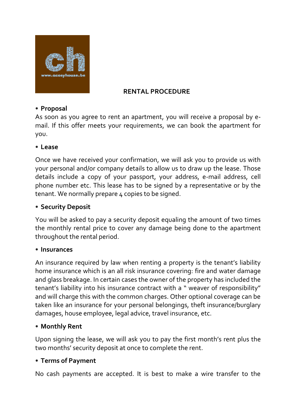

#### **RENTAL PROCEDURE**

#### • **Proposal**

As soon as you agree to rent an apartment, you will receive a proposal by email. If this offer meets your requirements, we can book the apartment for you.

#### • **Lease**

Once we have received your confirmation, we will ask you to provide us with your personal and/or company details to allow us to draw up the lease. Those details include a copy of your passport, your address, e-mail address, cell phone number etc. This lease has to be signed by a representative or by the tenant. We normally prepare 4 copies to be signed.

## • **Security Deposit**

You will be asked to pay a security deposit equaling the amount of two times the monthly rental price to cover any damage being done to the apartment throughout the rental period.

#### • **Insurances**

An insurance required by law when renting a property is the tenant's liability home insurance which is an all risk insurance covering: fire and water damage and glass breakage. In certain cases the owner of the property has included the tenant's liability into his insurance contract with a " weaver of responsibility" and will charge this with the common charges. Other optional coverage can be taken like an insurance for your personal belongings, theft insurance/burglary damages, house employee, legal advice, travel insurance, etc.

## • **Monthly Rent**

Upon signing the lease, we will ask you to pay the first month's rent plus the two months' security deposit at once to complete the rent.

## • **Terms of Payment**

No cash payments are accepted. It is best to make a wire transfer to the